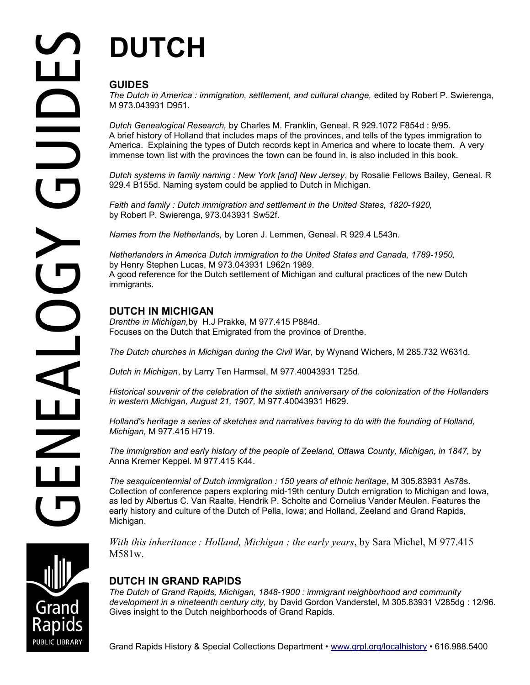# **DUTCH**

## **GUIDES**

*The Dutch in America : immigration, settlement, and cultural change, edited by Robert P. Swierenga,* M 973.043931 D951.

*Dutch Genealogical Research,* by Charles M. Franklin, Geneal. R 929.1072 F854d : 9/95. A brief history of Holland that includes maps of the provinces, and tells of the types immigration to America. Explaining the types of Dutch records kept in America and where to locate them. A very immense town list with the provinces the town can be found in, is also included in this book.

*Dutch systems in family naming : New York [and] New Jersey*, by Rosalie Fellows Bailey, Geneal. R 929.4 B155d. Naming system could be applied to Dutch in Michigan.

*Faith and family : Dutch immigration and settlement in the United States, 1820-1920,*  by Robert P. Swierenga, 973.043931 Sw52f.

*Names from the Netherlands,* by Loren J. Lemmen, Geneal. R 929.4 L543n.

*Netherlanders in America Dutch immigration to the United States and Canada, 1789-1950,*  by Henry Stephen Lucas, M 973.043931 L962n 1989. A good reference for the Dutch settlement of Michigan and cultural practices of the new Dutch immigrants.

## **DUTCH IN MICHIGAN**

*Drenthe in Michigan,*by H.J Prakke, M 977.415 P884d. Focuses on the Dutch that Emigrated from the province of Drenthe.

*The Dutch churches in Michigan during the Civil Wa*r, by Wynand Wichers, M 285.732 W631d.

*Dutch in Michigan*, by Larry Ten Harmsel, M 977.40043931 T25d.

*Historical souvenir of the celebration of the sixtieth anniversary of the colonization of the Hollanders in western Michigan, August 21, 1907,* M 977.40043931 H629.

*Holland's heritage a series of sketches and narratives having to do with the founding of Holland, Michigan,* M 977.415 H719.

*The immigration and early history of the people of Zeeland, Ottawa County, Michigan, in 1847,* by Anna Kremer Keppel. M 977.415 K44.

*The sesquicentennial of Dutch immigration : 150 years of ethnic heritage*, M 305.83931 As78s. Collection of conference papers exploring mid-19th century Dutch emigration to Michigan and Iowa, as led by Albertus C. Van Raalte, Hendrik P. Scholte and Cornelius Vander Meulen. Features the early history and culture of the Dutch of Pella, Iowa; and Holland, Zeeland and Grand Rapids, Michigan.

*With this inheritance : Holland, Michigan : the early years*, by Sara Michel, M 977.415 M581w.

## **DUTCH IN GRAND RAPIDS**

*The Dutch of Grand Rapids, Michigan, 1848-1900 : immigrant neighborhood and community development in a nineteenth century city,* by David Gordon Vanderstel, M 305.83931 V285dg : 12/96. Gives insight to the Dutch neighborhoods of Grand Rapids.

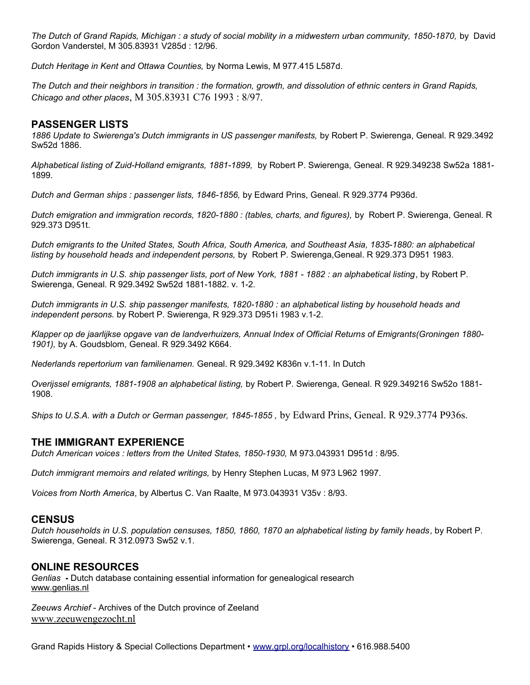*The Dutch of Grand Rapids, Michigan : a study of social mobility in a midwestern urban community, 1850-1870,* by David Gordon Vanderstel, M 305.83931 V285d : 12/96.

*Dutch Heritage in Kent and Ottawa Counties,* by Norma Lewis, M 977.415 L587d.

*The Dutch and their neighbors in transition : the formation, growth, and dissolution of ethnic centers in Grand Rapids, Chicago and other places*, M 305.83931 C76 1993 : 8/97.

#### **PASSENGER LISTS**

*1886 Update to Swierenga's Dutch immigrants in US passenger manifests,* by Robert P. Swierenga, Geneal. R 929.3492 Sw52d 1886.

*Alphabetical listing of Zuid-Holland emigrants, 1881-1899,* by Robert P. Swierenga, Geneal. R 929.349238 Sw52a 1881- 1899.

*Dutch and German ships : passenger lists, 1846-1856,* by Edward Prins, Geneal. R 929.3774 P936d.

*Dutch emigration and immigration records, 1820-1880 : (tables, charts, and figures),* by Robert P. Swierenga, Geneal. R 929.373 D951t.

*Dutch emigrants to the United States, South Africa, South America, and Southeast Asia, 1835-1880: an alphabetical listing by household heads and independent persons,* by Robert P. Swierenga,Geneal. R 929.373 D951 1983.

*Dutch immigrants in U.S. ship passenger lists, port of New York, 1881 - 1882 : an alphabetical listing*, by Robert P. Swierenga, Geneal. R 929.3492 Sw52d 1881-1882. v. 1-2.

*Dutch immigrants in U.S. ship passenger manifests, 1820-1880 : an alphabetical listing by household heads and independent persons.* by Robert P. Swierenga, R 929.373 D951i 1983 v.1-2.

*Klapper op de jaarlijkse opgave van de landverhuizers, Annual Index of Official Returns of Emigrants(Groningen 1880- 1901),* by A. Goudsblom, Geneal. R 929.3492 K664.

*Nederlands repertorium van familienamen.* Geneal. R 929.3492 K836n v.1-11. In Dutch

*Overijssel emigrants, 1881-1908 an alphabetical listing,* by Robert P. Swierenga, Geneal. R 929.349216 Sw52o 1881- 1908.

*Ships to U.S.A. with a Dutch or German passenger, 1845-1855 ,* by Edward Prins, Geneal. R 929.3774 P936s.

#### **THE IMMIGRANT EXPERIENCE**

*Dutch American voices : letters from the United States, 1850-1930,* M 973.043931 D951d : 8/95.

*Dutch immigrant memoirs and related writings,* by Henry Stephen Lucas, M 973 L962 1997.

*Voices from North America*, by Albertus C. Van Raalte, M 973.043931 V35v : 8/93.

#### **CENSUS**

*Dutch households in U.S. population censuses, 1850, 1860, 1870 an alphabetical listing by family heads*, by Robert P. Swierenga, Geneal. R 312.0973 Sw52 v.1.

#### **ONLINE RESOURCES**

*Genlias* **-** Dutch database containing essential information for genealogical research www.genlias.nl

*Zeeuws Archief* - Archives of the Dutch province of Zeeland www.zeeuwengezocht.nl

Grand Rapids History & Special Collections Department • [www.grpl.org/localhistory](http://www.grpl.org/localhistory) • 616.988.5400